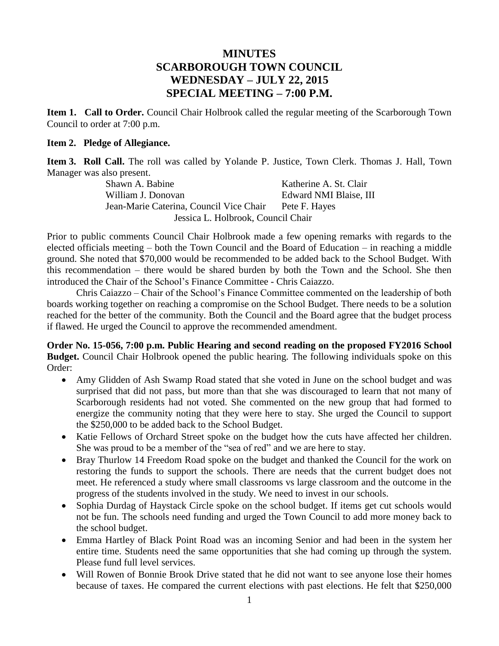## **MINUTES SCARBOROUGH TOWN COUNCIL WEDNESDAY – JULY 22, 2015 SPECIAL MEETING – 7:00 P.M.**

**Item 1. Call to Order.** Council Chair Holbrook called the regular meeting of the Scarborough Town Council to order at 7:00 p.m.

## **Item 2. Pledge of Allegiance.**

**Item 3. Roll Call.** The roll was called by Yolande P. Justice, Town Clerk. Thomas J. Hall, Town Manager was also present.

Shawn A. Babine Katherine A. St. Clair William J. Donovan **Edward NMI Blaise**, III Jean-Marie Caterina, Council Vice Chair Pete F. Hayes Jessica L. Holbrook, Council Chair

Prior to public comments Council Chair Holbrook made a few opening remarks with regards to the elected officials meeting – both the Town Council and the Board of Education – in reaching a middle ground. She noted that \$70,000 would be recommended to be added back to the School Budget. With this recommendation – there would be shared burden by both the Town and the School. She then introduced the Chair of the School's Finance Committee - Chris Caiazzo.

Chris Caiazzo – Chair of the School's Finance Committee commented on the leadership of both boards working together on reaching a compromise on the School Budget. There needs to be a solution reached for the better of the community. Both the Council and the Board agree that the budget process if flawed. He urged the Council to approve the recommended amendment.

**Order No. 15-056, 7:00 p.m. Public Hearing and second reading on the proposed FY2016 School Budget.** Council Chair Holbrook opened the public hearing. The following individuals spoke on this Order:

- Amy Glidden of Ash Swamp Road stated that she voted in June on the school budget and was surprised that did not pass, but more than that she was discouraged to learn that not many of Scarborough residents had not voted. She commented on the new group that had formed to energize the community noting that they were here to stay. She urged the Council to support the \$250,000 to be added back to the School Budget.
- Katie Fellows of Orchard Street spoke on the budget how the cuts have affected her children. She was proud to be a member of the "sea of red" and we are here to stay.
- Bray Thurlow 14 Freedom Road spoke on the budget and thanked the Council for the work on restoring the funds to support the schools. There are needs that the current budget does not meet. He referenced a study where small classrooms vs large classroom and the outcome in the progress of the students involved in the study. We need to invest in our schools.
- Sophia Durdag of Haystack Circle spoke on the school budget. If items get cut schools would not be fun. The schools need funding and urged the Town Council to add more money back to the school budget.
- Emma Hartley of Black Point Road was an incoming Senior and had been in the system her entire time. Students need the same opportunities that she had coming up through the system. Please fund full level services.
- Will Rowen of Bonnie Brook Drive stated that he did not want to see anyone lose their homes because of taxes. He compared the current elections with past elections. He felt that \$250,000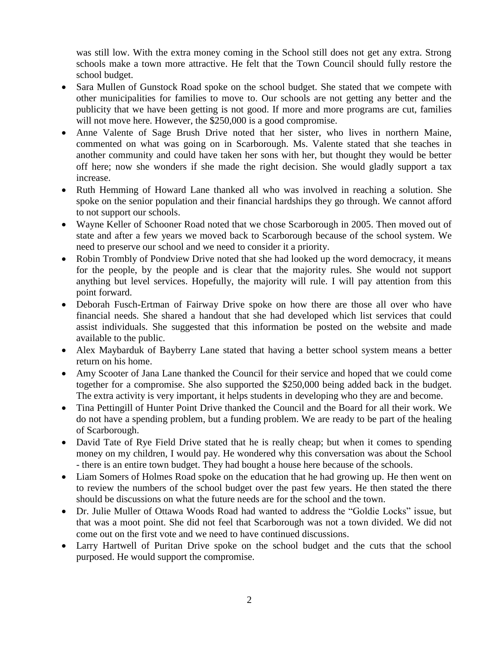was still low. With the extra money coming in the School still does not get any extra. Strong schools make a town more attractive. He felt that the Town Council should fully restore the school budget.

- Sara Mullen of Gunstock Road spoke on the school budget. She stated that we compete with other municipalities for families to move to. Our schools are not getting any better and the publicity that we have been getting is not good. If more and more programs are cut, families will not move here. However, the \$250,000 is a good compromise.
- Anne Valente of Sage Brush Drive noted that her sister, who lives in northern Maine, commented on what was going on in Scarborough. Ms. Valente stated that she teaches in another community and could have taken her sons with her, but thought they would be better off here; now she wonders if she made the right decision. She would gladly support a tax increase.
- Ruth Hemming of Howard Lane thanked all who was involved in reaching a solution. She spoke on the senior population and their financial hardships they go through. We cannot afford to not support our schools.
- Wayne Keller of Schooner Road noted that we chose Scarborough in 2005. Then moved out of state and after a few years we moved back to Scarborough because of the school system. We need to preserve our school and we need to consider it a priority.
- Robin Trombly of Pondview Drive noted that she had looked up the word democracy, it means for the people, by the people and is clear that the majority rules. She would not support anything but level services. Hopefully, the majority will rule. I will pay attention from this point forward.
- Deborah Fusch-Ertman of Fairway Drive spoke on how there are those all over who have financial needs. She shared a handout that she had developed which list services that could assist individuals. She suggested that this information be posted on the website and made available to the public.
- Alex Maybarduk of Bayberry Lane stated that having a better school system means a better return on his home.
- Amy Scooter of Jana Lane thanked the Council for their service and hoped that we could come together for a compromise. She also supported the \$250,000 being added back in the budget. The extra activity is very important, it helps students in developing who they are and become.
- Tina Pettingill of Hunter Point Drive thanked the Council and the Board for all their work. We do not have a spending problem, but a funding problem. We are ready to be part of the healing of Scarborough.
- David Tate of Rye Field Drive stated that he is really cheap; but when it comes to spending money on my children, I would pay. He wondered why this conversation was about the School - there is an entire town budget. They had bought a house here because of the schools.
- Liam Somers of Holmes Road spoke on the education that he had growing up. He then went on to review the numbers of the school budget over the past few years. He then stated the there should be discussions on what the future needs are for the school and the town.
- Dr. Julie Muller of Ottawa Woods Road had wanted to address the "Goldie Locks" issue, but that was a moot point. She did not feel that Scarborough was not a town divided. We did not come out on the first vote and we need to have continued discussions.
- Larry Hartwell of Puritan Drive spoke on the school budget and the cuts that the school purposed. He would support the compromise.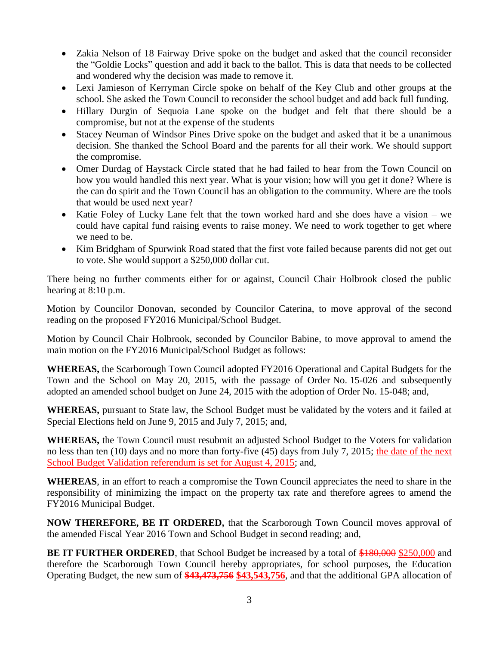- Zakia Nelson of 18 Fairway Drive spoke on the budget and asked that the council reconsider the "Goldie Locks" question and add it back to the ballot. This is data that needs to be collected and wondered why the decision was made to remove it.
- Lexi Jamieson of Kerryman Circle spoke on behalf of the Key Club and other groups at the school. She asked the Town Council to reconsider the school budget and add back full funding.
- Hillary Durgin of Sequoia Lane spoke on the budget and felt that there should be a compromise, but not at the expense of the students
- Stacey Neuman of Windsor Pines Drive spoke on the budget and asked that it be a unanimous decision. She thanked the School Board and the parents for all their work. We should support the compromise.
- Omer Durdag of Haystack Circle stated that he had failed to hear from the Town Council on how you would handled this next year. What is your vision; how will you get it done? Where is the can do spirit and the Town Council has an obligation to the community. Where are the tools that would be used next year?
- Katie Foley of Lucky Lane felt that the town worked hard and she does have a vision we could have capital fund raising events to raise money. We need to work together to get where we need to be.
- Kim Bridgham of Spurwink Road stated that the first vote failed because parents did not get out to vote. She would support a \$250,000 dollar cut.

There being no further comments either for or against, Council Chair Holbrook closed the public hearing at 8:10 p.m.

Motion by Councilor Donovan, seconded by Councilor Caterina, to move approval of the second reading on the proposed FY2016 Municipal/School Budget.

Motion by Council Chair Holbrook, seconded by Councilor Babine, to move approval to amend the main motion on the FY2016 Municipal/School Budget as follows:

**WHEREAS,** the Scarborough Town Council adopted FY2016 Operational and Capital Budgets for the Town and the School on May 20, 2015, with the passage of Order No. 15-026 and subsequently adopted an amended school budget on June 24, 2015 with the adoption of Order No. 15-048; and,

**WHEREAS,** pursuant to State law, the School Budget must be validated by the voters and it failed at Special Elections held on June 9, 2015 and July 7, 2015; and,

**WHEREAS,** the Town Council must resubmit an adjusted School Budget to the Voters for validation no less than ten (10) days and no more than forty-five (45) days from July 7, 2015; the date of the next School Budget Validation referendum is set for August 4, 2015; and,

**WHEREAS**, in an effort to reach a compromise the Town Council appreciates the need to share in the responsibility of minimizing the impact on the property tax rate and therefore agrees to amend the FY2016 Municipal Budget.

**NOW THEREFORE, BE IT ORDERED,** that the Scarborough Town Council moves approval of the amended Fiscal Year 2016 Town and School Budget in second reading; and,

**BE IT FURTHER ORDERED**, that School Budget be increased by a total of \$180,000 \$250,000 and therefore the Scarborough Town Council hereby appropriates, for school purposes, the Education Operating Budget, the new sum of **\$43,473,756 \$43,543,756**, and that the additional GPA allocation of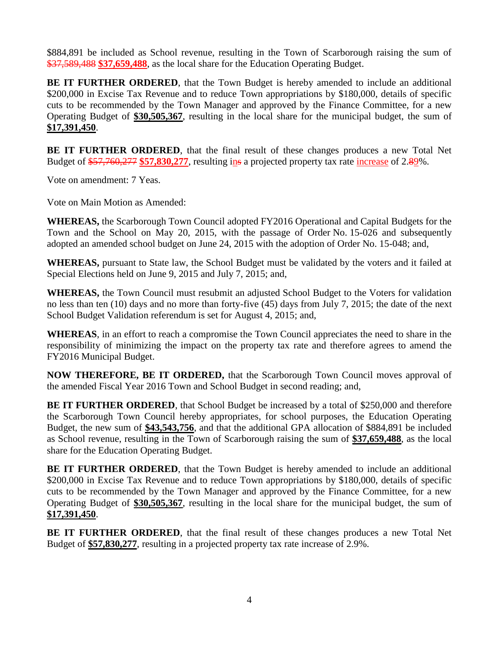\$884,891 be included as School revenue, resulting in the Town of Scarborough raising the sum of \$37,589,488 **\$37,659,488**, as the local share for the Education Operating Budget.

**BE IT FURTHER ORDERED**, that the Town Budget is hereby amended to include an additional \$200,000 in Excise Tax Revenue and to reduce Town appropriations by \$180,000, details of specific cuts to be recommended by the Town Manager and approved by the Finance Committee, for a new Operating Budget of **\$30,505,367**, resulting in the local share for the municipal budget, the sum of **\$17,391,450**.

**BE IT FURTHER ORDERED**, that the final result of these changes produces a new Total Net Budget of  $\frac{$57,760,277}{$57,830,277}$ , resulting in a projected property tax rate increase of 2.89%.

Vote on amendment: 7 Yeas.

Vote on Main Motion as Amended:

**WHEREAS,** the Scarborough Town Council adopted FY2016 Operational and Capital Budgets for the Town and the School on May 20, 2015, with the passage of Order No. 15-026 and subsequently adopted an amended school budget on June 24, 2015 with the adoption of Order No. 15-048; and,

**WHEREAS,** pursuant to State law, the School Budget must be validated by the voters and it failed at Special Elections held on June 9, 2015 and July 7, 2015; and,

**WHEREAS,** the Town Council must resubmit an adjusted School Budget to the Voters for validation no less than ten (10) days and no more than forty-five (45) days from July 7, 2015; the date of the next School Budget Validation referendum is set for August 4, 2015; and,

**WHEREAS**, in an effort to reach a compromise the Town Council appreciates the need to share in the responsibility of minimizing the impact on the property tax rate and therefore agrees to amend the FY2016 Municipal Budget.

**NOW THEREFORE, BE IT ORDERED,** that the Scarborough Town Council moves approval of the amended Fiscal Year 2016 Town and School Budget in second reading; and,

**BE IT FURTHER ORDERED**, that School Budget be increased by a total of \$250,000 and therefore the Scarborough Town Council hereby appropriates, for school purposes, the Education Operating Budget, the new sum of **\$43,543,756**, and that the additional GPA allocation of \$884,891 be included as School revenue, resulting in the Town of Scarborough raising the sum of **\$37,659,488**, as the local share for the Education Operating Budget.

**BE IT FURTHER ORDERED**, that the Town Budget is hereby amended to include an additional \$200,000 in Excise Tax Revenue and to reduce Town appropriations by \$180,000, details of specific cuts to be recommended by the Town Manager and approved by the Finance Committee, for a new Operating Budget of **\$30,505,367**, resulting in the local share for the municipal budget, the sum of **\$17,391,450**.

**BE IT FURTHER ORDERED**, that the final result of these changes produces a new Total Net Budget of **\$57,830,277**, resulting in a projected property tax rate increase of 2.9%.